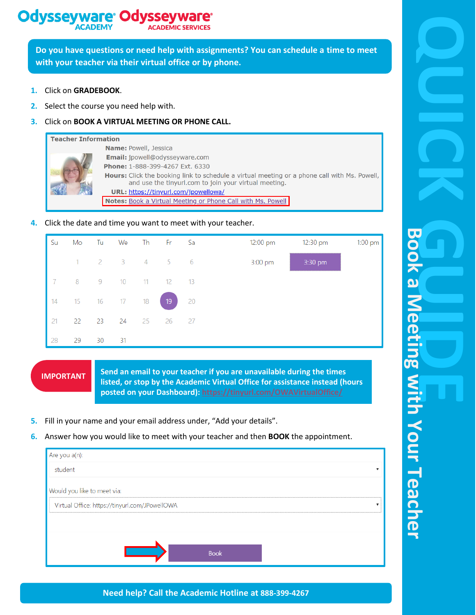#### **Odysseyware® Odysseywa ACADEMIC SER**

**Do you have questions or need help with assignments? You can schedule a time to meet with your teacher via their virtual office or by phone.**

- **1.** Click on **GRADEBOOK**.
- **2.** Select the course you need help with.
- **3.** Click on **BOOK A VIRTUAL MEETING OR PHONE CALL.**

### **Teacher Information**

|  | <b>Name: Powell, Jessica</b>                                                                                                                                 |
|--|--------------------------------------------------------------------------------------------------------------------------------------------------------------|
|  | <b>Email:</b> jpowell@odysseyware.com                                                                                                                        |
|  | <b>Phone: 1-888-399-4267 Ext. 6330</b>                                                                                                                       |
|  | <b>Hours:</b> Click the booking link to schedule a virtual meeting or a phone call with Ms. Powell,<br>and use the tinyurl.com to join your virtual meeting. |
|  | URL: https://tinyurl.com/jpowellowa/                                                                                                                         |
|  | Notes: Book a Virtual Meeting or Phone Call with Ms. Powell                                                                                                  |

### **4.** Click the date and time you want to meet with your teacher.



## **IMPORTANT**

**Send an email to your teacher if you are unavailable during the times listed, or stop by the Academic Virtual Office for assistance instead (hours posted on your Dashboard): <https://tinyurl.com/OWAVirtualOffice/>**

- **5.** Fill in your name and your email address under, "Add your details".
- **6.** Answer how you would like to meet with your teacher and then **BOOK** the appointment.

| Are you a(n):                                  |                         |  |
|------------------------------------------------|-------------------------|--|
| student                                        | $\overline{\mathbf{v}}$ |  |
| Would you like to meet via:                    |                         |  |
| Virtual Office: https://tinyurl.com/JPowellOWA |                         |  |
|                                                |                         |  |
|                                                |                         |  |
| <b>Book</b>                                    |                         |  |

**Need help? Call the Academic Hotline at 888-399-4267**